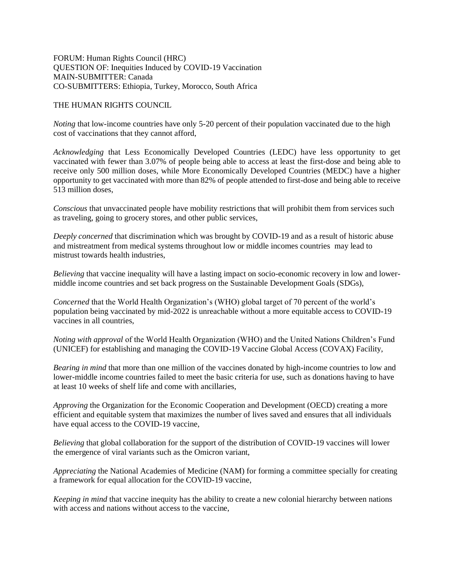FORUM: Human Rights Council (HRC) QUESTION OF: Inequities Induced by COVID-19 Vaccination MAIN-SUBMITTER: Canada CO-SUBMITTERS: Ethiopia, Turkey, Morocco, South Africa

## THE HUMAN RIGHTS COUNCIL

*Noting* that low-income countries have only 5-20 percent of their population vaccinated due to the high cost of vaccinations that they cannot afford,

*Acknowledging* that Less Economically Developed Countries (LEDC) have less opportunity to get vaccinated with fewer than 3.07% of people being able to access at least the first-dose and being able to receive only 500 million doses, while More Economically Developed Countries (MEDC) have a higher opportunity to get vaccinated with more than 82% of people attended to first-dose and being able to receive 513 million doses,

*Conscious* that unvaccinated people have mobility restrictions that will prohibit them from services such as traveling, going to grocery stores, and other public services,

*Deeply concerned* that discrimination which was brought by COVID-19 and as a result of historic abuse and mistreatment from medical systems throughout low or middle incomes countries may lead to mistrust towards health industries,

*Believing* that vaccine inequality will have a lasting impact on socio-economic recovery in low and lowermiddle income countries and set back progress on the Sustainable Development Goals (SDGs),

*Concerned* that the World Health Organization's (WHO) global target of 70 percent of the world's population being vaccinated by mid-2022 is unreachable without a more equitable access to COVID-19 vaccines in all countries,

*Noting with approval* of the World Health Organization (WHO) and the United Nations Children's Fund (UNICEF) for establishing and managing the COVID-19 Vaccine Global Access (COVAX) Facility,

*Bearing in mind* that more than one million of the vaccines donated by high-income countries to low and lower-middle income countries failed to meet the basic criteria for use, such as donations having to have at least 10 weeks of shelf life and come with ancillaries,

*Approving* the Organization for the Economic Cooperation and Development (OECD) creating a more efficient and equitable system that maximizes the number of lives saved and ensures that all individuals have equal access to the COVID-19 vaccine,

*Believing* that global collaboration for the support of the distribution of COVID-19 vaccines will lower the emergence of viral variants such as the Omicron variant,

*Appreciating* the National Academies of Medicine (NAM) for forming a committee specially for creating a framework for equal allocation for the COVID-19 vaccine,

*Keeping in mind* that vaccine inequity has the ability to create a new colonial hierarchy between nations with access and nations without access to the vaccine,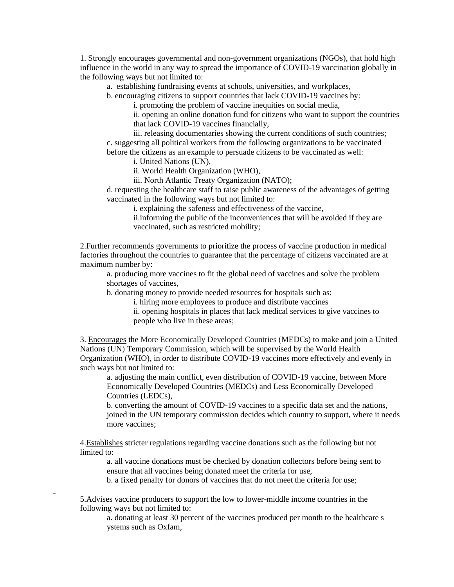1. Strongly encourages governmental and non-government organizations (NGOs), that hold high influence in the world in any way to spread the importance of COVID-19 vaccination globally in the following ways but not limited to:

a. establishing fundraising events at schools, universities, and workplaces,

b. encouraging citizens to support countries that lack COVID-19 vaccines by:

i. promoting the problem of vaccine inequities on social media,

ii. opening an online donation fund for citizens who want to support the countries that lack COVID-19 vaccines financially,

iii. releasing documentaries showing the current conditions of such countries; c. suggesting all political workers from the following organizations to be vaccinated before the citizens as an example to persuade citizens to be vaccinated as well:

i. United Nations (UN),

ii. World Health Organization (WHO),

iii. North Atlantic Treaty Organization (NATO);

d. requesting the healthcare staff to raise public awareness of the advantages of getting vaccinated in the following ways but not limited to:

i. explaining the safeness and effectiveness of the vaccine,

ii.informing the public of the inconveniences that will be avoided if they are vaccinated, such as restricted mobility;

2.Further recommends governments to prioritize the process of vaccine production in medical factories throughout the countries to guarantee that the percentage of citizens vaccinated are at maximum number by:

a. producing more vaccines to fit the global need of vaccines and solve the problem shortages of vaccines,

b. donating money to provide needed resources for hospitals such as:

i. hiring more employees to produce and distribute vaccines

ii. opening hospitals in places that lack medical services to give vaccines to people who live in these areas;

3. Encourages the More Economically Developed Countries (MEDCs) to make and join a United Nations (UN) Temporary Commission, which will be supervised by the World Health Organization (WHO), in order to distribute COVID-19 vaccines more effectively and evenly in such ways but not limited to:

a. adjusting the main conflict, even distribution of COVID-19 vaccine, between More Economically Developed Countries (MEDCs) and Less Economically Developed Countries (LEDCs),

b. converting the amount of COVID-19 vaccines to a specific data set and the nations, joined in the UN temporary commission decides which country to support, where it needs more vaccines;

4.Establishes stricter regulations regarding vaccine donations such as the following but not limited to:

a. all vaccine donations must be checked by donation collectors before being sent to ensure that all vaccines being donated meet the criteria for use,

b. a fixed penalty for donors of vaccines that do not meet the criteria for use;

5.Advises vaccine producers to support the low to lower-middle income countries in the following ways but not limited to:

a. donating at least 30 percent of the vaccines produced per month to the healthcare s ystems such as Oxfam,